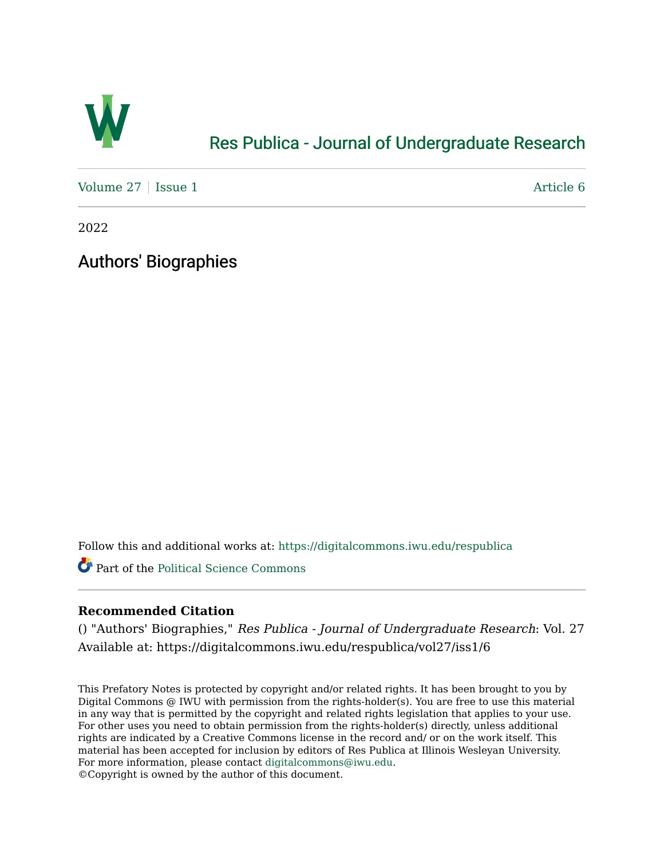

## [Res Publica - Journal of Undergraduate Research](https://digitalcommons.iwu.edu/respublica)

[Volume 27](https://digitalcommons.iwu.edu/respublica/vol27) | [Issue 1](https://digitalcommons.iwu.edu/respublica/vol27/iss1) Article 6

2022

Authors' Biographies

Follow this and additional works at: [https://digitalcommons.iwu.edu/respublica](https://digitalcommons.iwu.edu/respublica?utm_source=digitalcommons.iwu.edu%2Frespublica%2Fvol27%2Fiss1%2F6&utm_medium=PDF&utm_campaign=PDFCoverPages) 

Part of the [Political Science Commons](http://network.bepress.com/hgg/discipline/386?utm_source=digitalcommons.iwu.edu%2Frespublica%2Fvol27%2Fiss1%2F6&utm_medium=PDF&utm_campaign=PDFCoverPages)

## **Recommended Citation**

() "Authors' Biographies," Res Publica - Journal of Undergraduate Research: Vol. 27 Available at: https://digitalcommons.iwu.edu/respublica/vol27/iss1/6

This Prefatory Notes is protected by copyright and/or related rights. It has been brought to you by Digital Commons @ IWU with permission from the rights-holder(s). You are free to use this material in any way that is permitted by the copyright and related rights legislation that applies to your use. For other uses you need to obtain permission from the rights-holder(s) directly, unless additional rights are indicated by a Creative Commons license in the record and/ or on the work itself. This material has been accepted for inclusion by editors of Res Publica at Illinois Wesleyan University. For more information, please contact [digitalcommons@iwu.edu](mailto:digitalcommons@iwu.edu). ©Copyright is owned by the author of this document.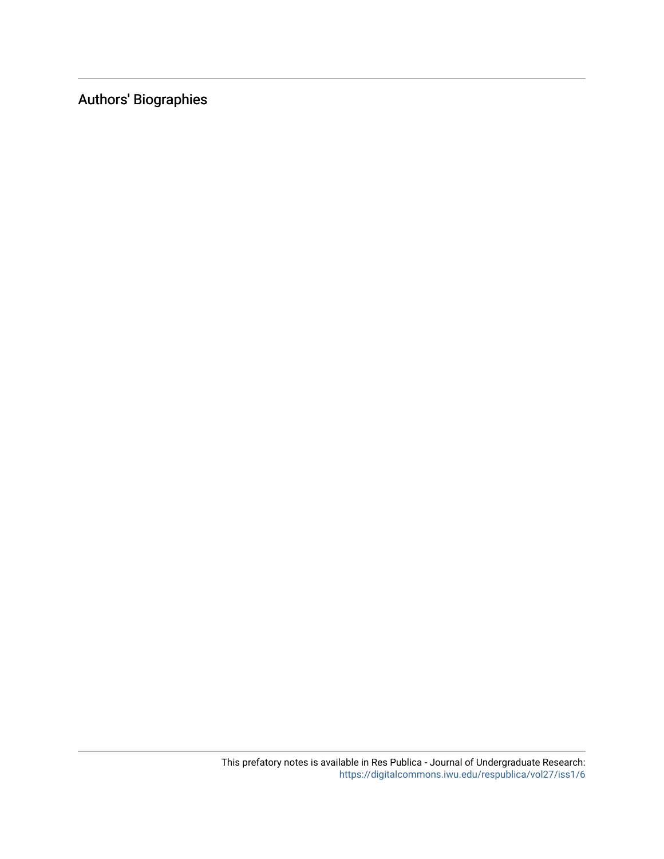Authors' Biographies